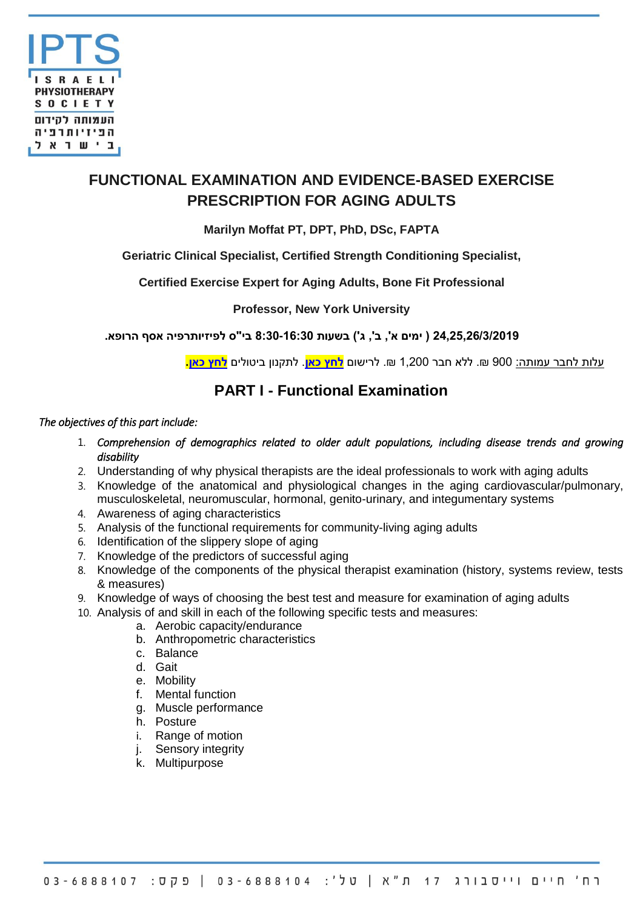

# **FUNCTIONAL EXAMINATION AND EVIDENCE-BASED EXERCISE PRESCRIPTION FOR AGING ADULTS**

## **Marilyn Moffat PT, DPT, PhD, DSc, FAPTA**

## **Geriatric Clinical Specialist, Certified Strength Conditioning Specialist,**

## **Certified Exercise Expert for Aging Adults, Bone Fit Professional**

## **Professor, New York University**

**24,25,26/3/2019 ) ימים א', ב', ג'( בשעות 8:30-16:30 בי"ס לפיזיותרפיה אסף הרופא.**

עלות לחבר עמותה: 900 .₪ ללא חבר 1,200 .₪ לרישום **[לחץ כאן](http://ipts.force.com/rscontactchecker)**. לתקנון ביטולים **[לחץ כאן.](http://www.ipts.org.il/_Uploads/dbsAttachedFiles/Cancellation_terms_and_conditions(1).pdf)**

## **PART I - Functional Examination**

#### *The objectives of this part include:*

- 1. *Comprehension of demographics related to older adult populations, including disease trends and growing disability*
- 2. Understanding of why physical therapists are the ideal professionals to work with aging adults
- 3. Knowledge of the anatomical and physiological changes in the aging cardiovascular/pulmonary, musculoskeletal, neuromuscular, hormonal, genito-urinary, and integumentary systems
- 4. Awareness of aging characteristics
- 5. Analysis of the functional requirements for community-living aging adults
- 6. Identification of the slippery slope of aging
- 7. Knowledge of the predictors of successful aging
- 8. Knowledge of the components of the physical therapist examination (history, systems review, tests & measures)
- 9. Knowledge of ways of choosing the best test and measure for examination of aging adults
- 10. Analysis of and skill in each of the following specific tests and measures:
	- a. Aerobic capacity/endurance
	- b. Anthropometric characteristics
	- c. Balance
	- d. Gait
	- e. Mobility
	- f. Mental function
	- g. Muscle performance
	- h. Posture
	- i. Range of motion
	- j. Sensory integrity
	- k. Multipurpose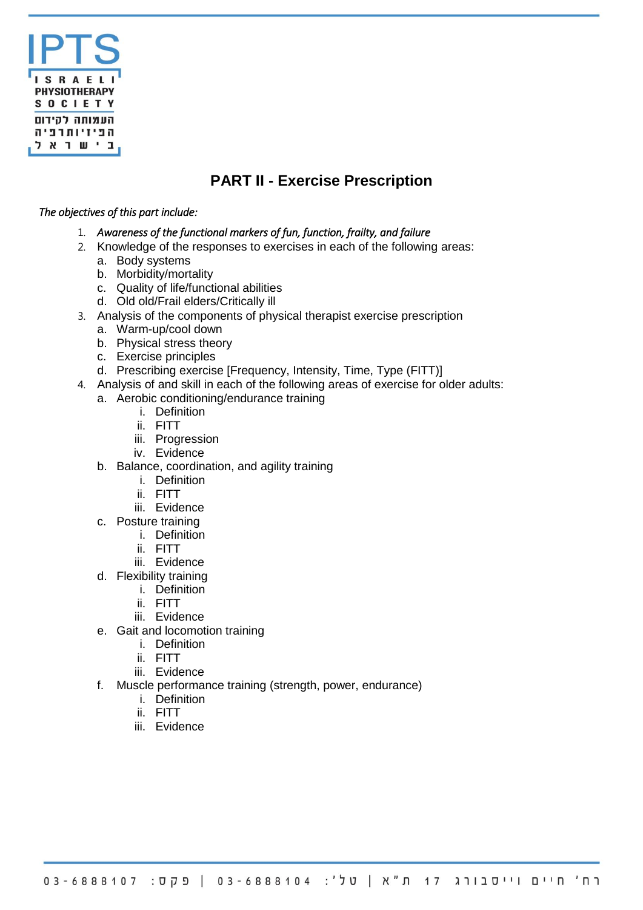

## **PART II - Exercise Prescription**

#### *The objectives of this part include:*

- 1. *Awareness of the functional markers of fun, function, frailty, and failure*
- 2. Knowledge of the responses to exercises in each of the following areas:
	- a. Body systems
	- b. Morbidity/mortality
	- c. Quality of life/functional abilities
	- d. Old old/Frail elders/Critically ill
- 3. Analysis of the components of physical therapist exercise prescription
	- a. Warm-up/cool down
	- b. Physical stress theory
	- c. Exercise principles
	- d. Prescribing exercise [Frequency, Intensity, Time, Type (FITT)]
- 4. Analysis of and skill in each of the following areas of exercise for older adults:
	- a. Aerobic conditioning/endurance training
		- i. Definition
		- ii. FITT
		- iii. Progression
		- iv. Evidence
	- b. Balance, coordination, and agility training
		- i. Definition
		- ii. FITT
		- iii. Evidence
	- c. Posture training
		- i. Definition
		- ii. FITT
		- iii. Evidence
	- d. Flexibility training
		- i. Definition
		- ii. FITT
		- iii. Evidence
	- e. Gait and locomotion training
		- i. Definition
		- ii. FITT
		- iii. Evidence
	- f. Muscle performance training (strength, power, endurance)
		- i. Definition
		- ii. FITT
		- iii. Evidence